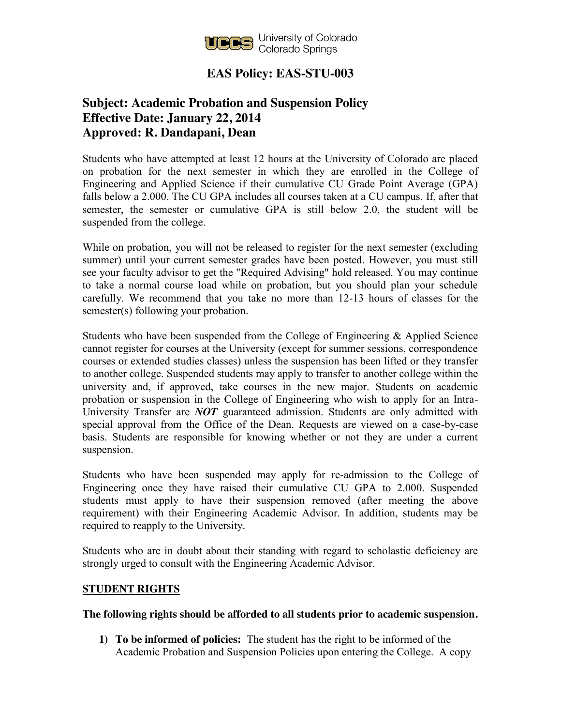

## **EAS Policy: EAS-STU-003**

## **Subject: Academic Probation and Suspension Policy Effective Date: January 22, 2014 Approved: R. Dandapani, Dean**

Students who have attempted at least 12 hours at the University of Colorado are placed on probation for the next semester in which they are enrolled in the College of Engineering and Applied Science if their cumulative CU Grade Point Average (GPA) falls below a 2.000. The CU GPA includes all courses taken at a CU campus. If, after that semester, the semester or cumulative GPA is still below 2.0, the student will be suspended from the college.

While on probation, you will not be released to register for the next semester (excluding summer) until your current semester grades have been posted. However, you must still see your faculty advisor to get the "Required Advising" hold released. You may continue to take a normal course load while on probation, but you should plan your schedule carefully. We recommend that you take no more than 12-13 hours of classes for the semester(s) following your probation.

Students who have been suspended from the College of Engineering & Applied Science cannot register for courses at the University (except for summer sessions, correspondence courses or extended studies classes) unless the suspension has been lifted or they transfer to another college. Suspended students may apply to transfer to another college within the university and, if approved, take courses in the new major. Students on academic probation or suspension in the College of Engineering who wish to apply for an Intra-University Transfer are *NOT* guaranteed admission. Students are only admitted with special approval from the Office of the Dean. Requests are viewed on a case-by-case basis. Students are responsible for knowing whether or not they are under a current suspension.

Students who have been suspended may apply for re-admission to the College of Engineering once they have raised their cumulative CU GPA to 2.000. Suspended students must apply to have their suspension removed (after meeting the above requirement) with their Engineering Academic Advisor. In addition, students may be required to reapply to the University.

Students who are in doubt about their standing with regard to scholastic deficiency are strongly urged to consult with the Engineering Academic Advisor.

## **STUDENT RIGHTS**

## **The following rights should be afforded to all students prior to academic suspension.**

**1) To be informed of policies:** The student has the right to be informed of the Academic Probation and Suspension Policies upon entering the College. A copy